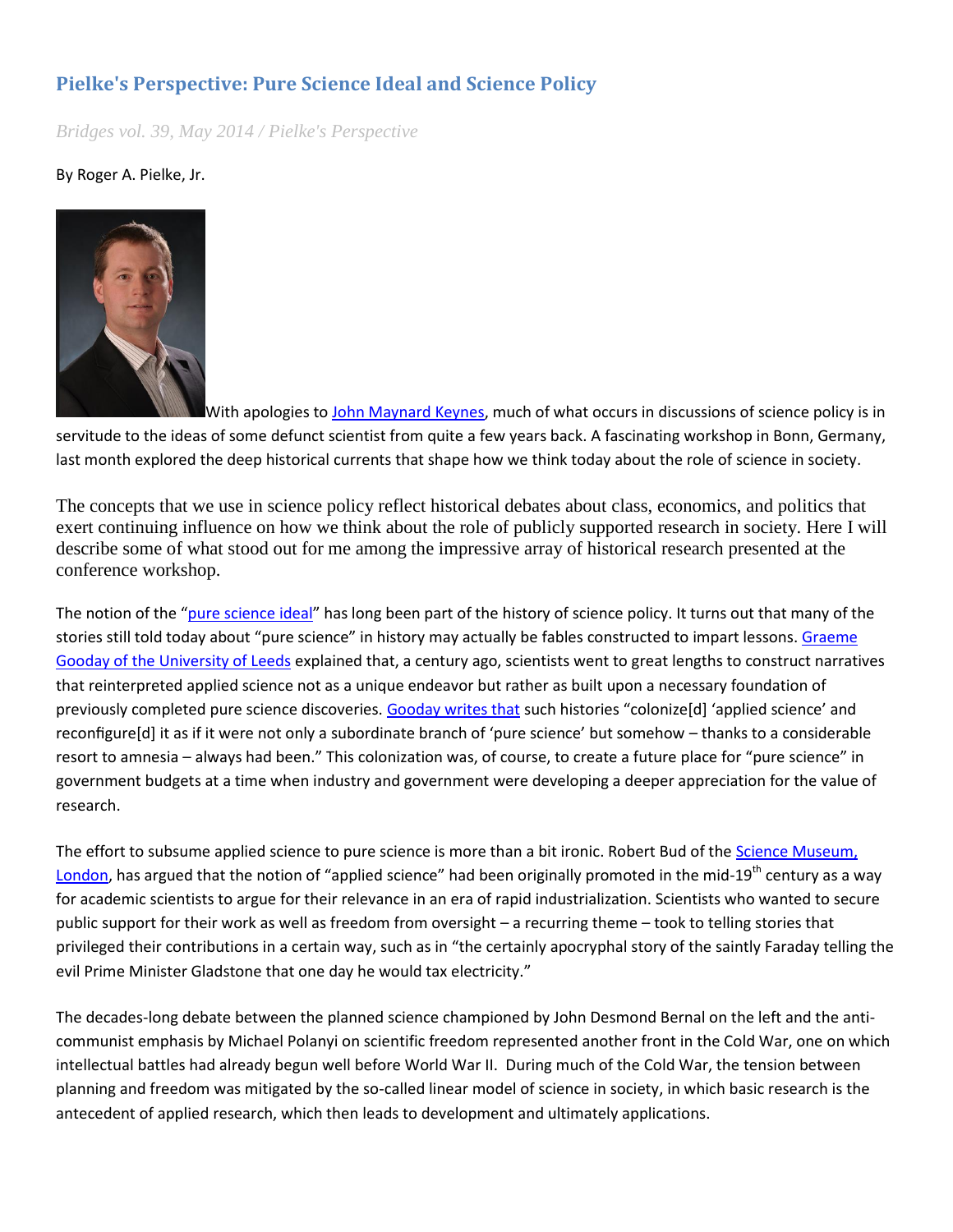## **Pielke's Perspective: Pure Science Ideal and Science Policy**

*Bridges vol. 39, May 2014 / Pielke's Perspective* 

By Roger A. Pielke, Jr.



With apologies to [John Maynard Keynes,](http://en.wikipedia.org/wiki/The_General_Theory_of_Employment,_Interest_and_Money) much of what occurs in discussions of science policy is in servitude to the ideas of some defunct scientist from quite a few years back. A fascinating workshop in Bonn, Germany, last month explored the deep historical currents that shape how we think today about the role of science in society.

The concepts that we use in science policy reflect historical debates about class, economics, and politics that exert continuing influence on how we think about the role of publicly supported research in society. Here I will describe some of what stood out for me among the impressive array of historical research presented at the conference workshop.

The notion of the "[pure science ideal](http://www.sciencemag.org/content/156/3783/1699.short)" has long been part of the history of science policy. It turns out that many of the stories still told today about "pure science" in history may actually be fables constructed to impart lessons. [Graeme](https://www.leeds.ac.uk/arts/people/20048/philosophy/person/860/graeme_gooday)  [Gooday of the University of Leeds](https://www.leeds.ac.uk/arts/people/20048/philosophy/person/860/graeme_gooday) explained that, a century ago, scientists went to great lengths to construct narratives that reinterpreted applied science not as a unique endeavor but rather as built upon a necessary foundation of previously completed pure science discoveries[. Gooday writes that](http://www.jstor.org/stable/pdfplus/10.1086/667978.pdf) such histories "colonize[d] 'applied science' and reconfigure[d] it as if it were not only a subordinate branch of 'pure science' but somehow – thanks to a considerable resort to amnesia – always had been." This colonization was, of course, to create a future place for "pure science" in government budgets at a time when industry and government were developing a deeper appreciation for the value of research.

The effort to subsume applied science to pure science is more than a bit ironic. Robert Bud of the Science Museum, [London](http://www.sciencemuseum.org.uk/), has argued that the notion of "applied science" had been originally promoted in the mid-19<sup>th</sup> century as a wav for academic scientists to argue for their relevance in an era of rapid industrialization. Scientists who wanted to secure public support for their work as well as freedom from oversight – a recurring theme – took to telling stories that privileged their contributions in a certain way, such as in "the certainly apocryphal story of the saintly Faraday telling the evil Prime Minister Gladstone that one day he would tax electricity."

The decades-long debate between the planned science championed by John Desmond Bernal on the left and the anticommunist emphasis by Michael Polanyi on scientific freedom represented another front in the Cold War, one on which intellectual battles had already begun well before World War II. During much of the Cold War, the tension between planning and freedom was mitigated by the so-called linear model of science in society, in which basic research is the antecedent of applied research, which then leads to development and ultimately applications.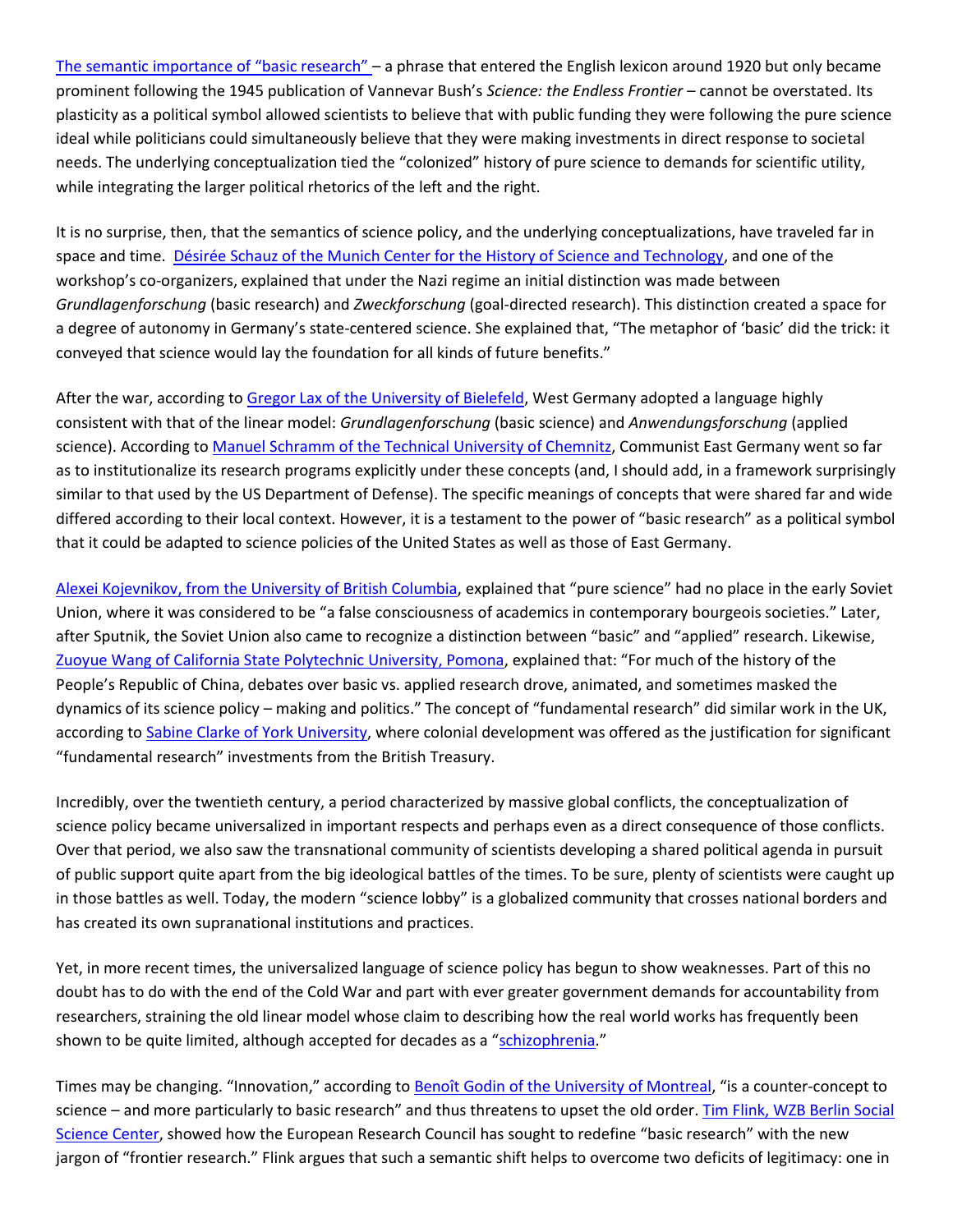[The semantic importance of "basic research" –](http://sciencepolicy.colorado.edu/admin/publication_files/2012.20.pdf) a phrase that entered the English lexicon around 1920 but only became prominent following the 1945 publication of Vannevar Bush's *Science: the Endless Frontier* – cannot be overstated. Its plasticity as a political symbol allowed scientists to believe that with public funding they were following the pure science ideal while politicians could simultaneously believe that they were making investments in direct response to societal needs. The underlying conceptualization tied the "colonized" history of pure science to demands for scientific utility, while integrating the larger political rhetorics of the left and the right.

It is no surprise, then, that the semantics of science policy, and the underlying conceptualizations, have traveled far in space and time. [Désirée Schauz of the Munich Center for the History of Science and Technology,](https://www.fggt.edu.tum.de/en/personen/desiree-schauz/) and one of the workshop's co-organizers, explained that under the Nazi regime an initial distinction was made between *Grundlagenforschung* (basic research) and *Zweckforschung* (goal-directed research). This distinction created a space for a degree of autonomy in Germany's state-centered science. She explained that, "The metaphor of 'basic' did the trick: it conveyed that science would lay the foundation for all kinds of future benefits."

After the war, according t[o Gregor Lax of the University of Bielefeld,](http://www.uni-bielefeld.de/bghs/personen/profile/gregor_lax.html) West Germany adopted a language highly consistent with that of the linear model: *Grundlagenforschung* (basic science) and *Anwendungsforschung* (applied science). According to [Manuel Schramm of the Technical University of Chemnitz,](http://www.tu-chemnitz.de/phil/geschichte/wsg/mitarbeiter_schramm.html) Communist East Germany went so far as to institutionalize its research programs explicitly under these concepts (and, I should add, in a framework surprisingly similar to that used by the US Department of Defense). The specific meanings of concepts that were shared far and wide differed according to their local context. However, it is a testament to the power of "basic research" as a political symbol that it could be adapted to science policies of the United States as well as those of East Germany.

[Alexei Kojevnikov, from the University of British Columbia](http://www.history.ubc.ca/people/alexei-kojevnikov), explained that "pure science" had no place in the early Soviet Union, where it was considered to be "a false consciousness of academics in contemporary bourgeois societies." Later, after Sputnik, the Soviet Union also came to recognize a distinction between "basic" and "applied" research. Likewise, [Zuoyue Wang of California State Polytechnic University, Pomona](http://www.csupomona.edu/~zywang/), explained that: "For much of the history of the People's Republic of China, debates over basic vs. applied research drove, animated, and sometimes masked the dynamics of its science policy – making and politics." The concept of "fundamental research" did similar work in the UK, according to [Sabine Clarke of York University,](https://www.york.ac.uk/history/staff/profiles/clarke/) where colonial development was offered as the justification for significant "fundamental research" investments from the British Treasury.

Incredibly, over the twentieth century, a period characterized by massive global conflicts, the conceptualization of science policy became universalized in important respects and perhaps even as a direct consequence of those conflicts. Over that period, we also saw the transnational community of scientists developing a shared political agenda in pursuit of public support quite apart from the big ideological battles of the times. To be sure, plenty of scientists were caught up in those battles as well. Today, the modern "science lobby" is a globalized community that crosses national borders and has created its own supranational institutions and practices.

Yet, in more recent times, the universalized language of science policy has begun to show weaknesses. Part of this no doubt has to do with the end of the Cold War and part with ever greater government demands for accountability from researchers, straining the old linear model whose claim to describing how the real world works has frequently been shown to be quite limited, although accepted for decades as a "[schizophrenia](http://www.sciencemag.org/content/156/3783/1699.short)."

Times may be changing. "Innovation," according to [Benoît Godin of the University of Montreal](http://www.csiic.ca/), "is a counter-concept to science – and more particularly to basic research" and thus threatens to upset the old order. [Tim Flink, WZB Berlin Social](http://www.wzb.eu/en/persons/tim-flink)  [Science Center](http://www.wzb.eu/en/persons/tim-flink), showed how the European Research Council has sought to redefine "basic research" with the new jargon of "frontier research." Flink argues that such a semantic shift helps to overcome two deficits of legitimacy: one in